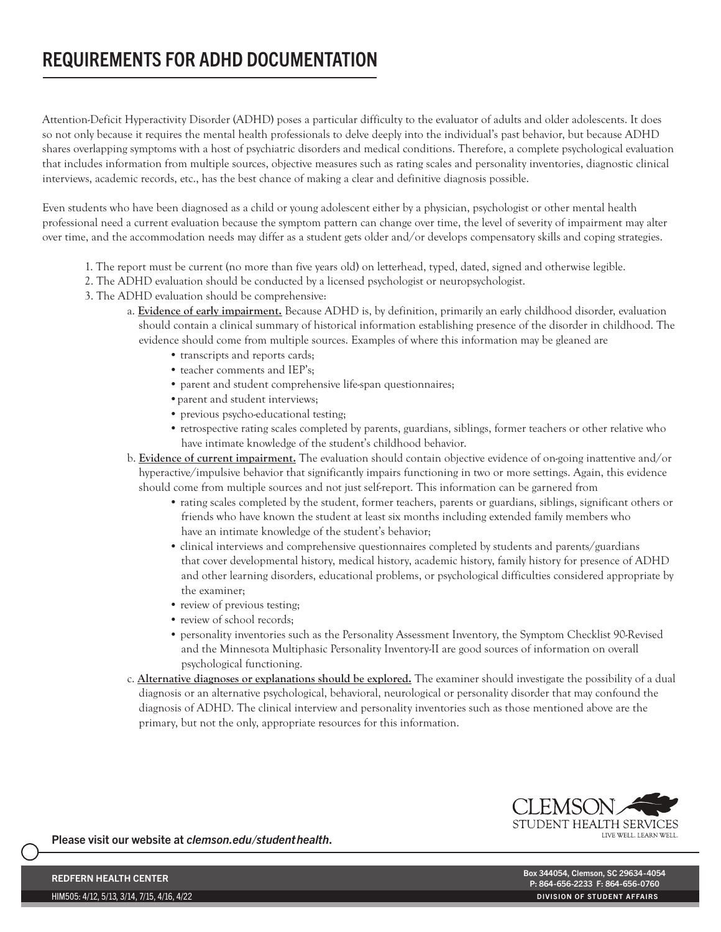## REQUIREMENTS FOR ADHD DOCUMENTATION

Attention-Deficit Hyperactivity Disorder (ADHD) poses a particular difficulty to the evaluator of adults and older adolescents. It does so not only because it requires the mental health professionals to delve deeply into the individual's past behavior, but because ADHD shares overlapping symptoms with a host of psychiatric disorders and medical conditions. Therefore, a complete psychological evaluation that includes information from multiple sources, objective measures such as rating scales and personality inventories, diagnostic clinical interviews, academic records, etc., has the best chance of making a clear and definitive diagnosis possible.

Even students who have been diagnosed as a child or young adolescent either by a physician, psychologist or other mental health professional need a current evaluation because the symptom pattern can change over time, the level of severity of impairment may alter over time, and the accommodation needs may differ as a student gets older and/or develops compensatory skills and coping strategies.

- 1. The report must be current (no more than five years old) on letterhead, typed, dated, signed and otherwise legible.
- 2. The ADHD evaluation should be conducted by a licensed psychologist or neuropsychologist.
- 3. The ADHD evaluation should be comprehensive:
	- a. Evidence of early impairment. Because ADHD is, by definition, primarily an early childhood disorder, evaluation should contain a clinical summary of historical information establishing presence of the disorder in childhood. The evidence should come from multiple sources. Examples of where this information may be gleaned are
		- transcripts and reports cards;
		- teacher comments and IEP's;
		- parent and student comprehensive life-span questionnaires;
		- •parent and student interviews;
		- previous psycho-educational testing;
		- retrospective rating scales completed by parents, guardians, siblings, former teachers or other relative who have intimate knowledge of the student's childhood behavior.
	- b. Evidence of current impairment. The evaluation should contain objective evidence of on-going inattentive and/or hyperactive/impulsive behavior that significantly impairs functioning in two or more settings. Again, this evidence should come from multiple sources and not just self-report. This information can be garnered from
		- rating scales completed by the student, former teachers, parents or guardians, siblings, significant others or friends who have known the student at least six months including extended family members who have an intimate knowledge of the student's behavior;
		- clinical interviews and comprehensive questionnaires completed by students and parents/guardians that cover developmental history, medical history, academic history, family history for presence of ADHD and other learning disorders, educational problems, or psychological difficulties considered appropriate by the examiner;
		- review of previous testing;
		- review of school records;
		- personality inventories such as the Personality Assessment Inventory, the Symptom Checklist 90-Revised and the Minnesota Multiphasic Personality Inventory-II are good sources of information on overall psychological functioning.
	- c. Alternative diagnoses or explanations should be explored. The examiner should investigate the possibility of a dual diagnosis or an alternative psychological, behavioral, neurological or personality disorder that may confound the diagnosis of ADHD. The clinical interview and personality inventories such as those mentioned above are the primary, but not the only, appropriate resources for this information.



Please visit our website at *clemson.edu/studenthealth*.

HIM505: 4/12, 5/13, 3/14, 7/15, 4/16, 4/22

REDFERN HEALTH CENTER والتي تعدد المستقلة المستقلة المستقلة المستقلة المستقلة المستقلة المستقلة المستقلة المستق<br>من هذه المستقلة المستقلة المستقلة المستقلة المستقلة المستقلة المستقلة المستقلة المستقلة المستقلة المستقلة الم P: 864-656-2233 F: 864-656-0760 DIVISION OF STUDENT AFFAIRS